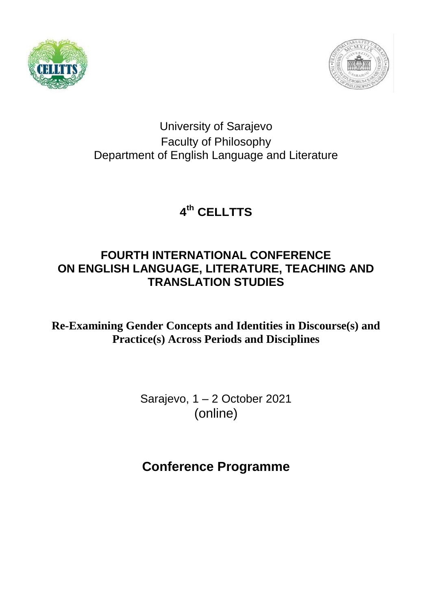



#### University of Sarajevo Faculty of Philosophy Department of English Language and Literature

# **4 th CELLTTS**

#### **FOURTH INTERNATIONAL CONFERENCE ON ENGLISH LANGUAGE, LITERATURE, TEACHING AND TRANSLATION STUDIES**

**Re-Examining Gender Concepts and Identities in Discourse(s) and Practice(s) Across Periods and Disciplines** 

> Sarajevo, 1 – 2 October 2021 (online)

# **Conference Programme**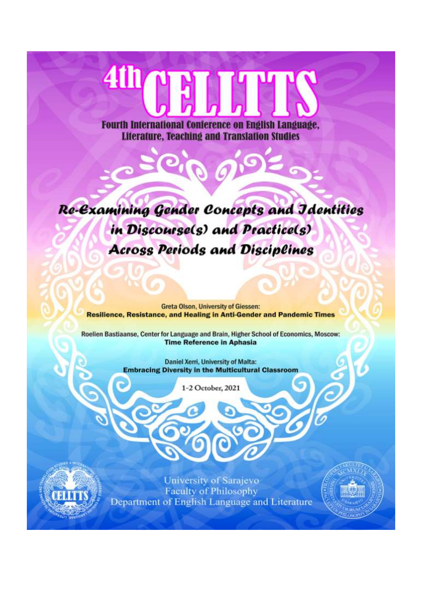# **41117**

**Fourth International Conference on English Language. Literature, Teaching and Translation Studies** 

Re-Examining Gender Concepts and Jdentities in Discourse(s) and Practice(s) **Across Periods and Disciplines** 

**Greta Olson, University of Giessen: Resilience, Resistance, and Healing in Anti-Gender and Pandemic Times** 

Roelien Bastiaanse, Center for Language and Brain, Higher School of Economics, Moscow: **Time Reference in Aphasia** 

> **Daniel Xerri, University of Malta: Embracing Diversity in the Multicultural Classroom**

> > 1-2 October, 2021



University of Sarajevo **Faculty of Philosophy** Department of English Language and Literature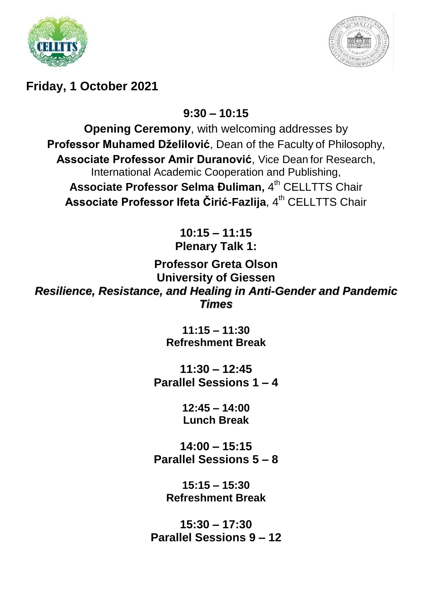



### **Friday, 1 October 2021**

**9:30 – 10:15**

**Opening Ceremony**, with welcoming addresses by **Professor Muhamed Dželilović**, Dean of the Faculty of Philosophy, **Associate Professor Amir Duranović**, Vice Dean for Research, International Academic Cooperation and Publishing, Associate Professor Selma Đuliman, 4<sup>th</sup> CELLTTS Chair Associate Professor Ifeta Čirić-Fazlija, 4<sup>th</sup> CELLTTS Chair

> **10:15 – 11:15 Plenary Talk 1:**

**Professor Greta Olson University of Giessen** *Resilience, Resistance, and Healing in Anti-Gender and Pandemic Times*

> **11:15 – 11:30 Refreshment Break**

**11:30 – 12:45 Parallel Sessions 1 – 4**

> **12:45 – 14:00 Lunch Break**

**14:00 – 15:15 Parallel Sessions 5 – 8**

**15:15 – 15:30 Refreshment Break**

**15:30 – 17:30 Parallel Sessions 9 – 12**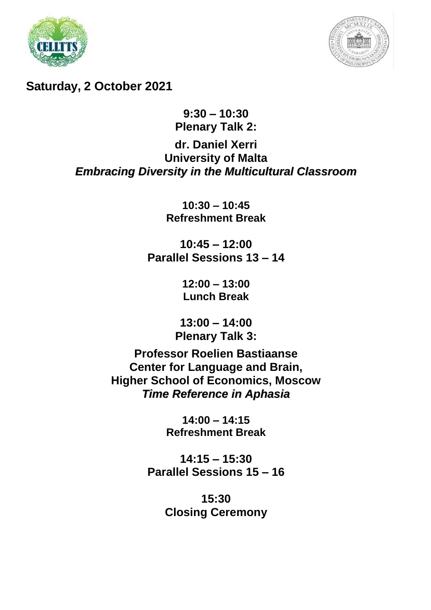



**Saturday, 2 October 2021**

#### **9:30 – 10:30 Plenary Talk 2:**

#### **dr. Daniel Xerri University of Malta** *Embracing Diversity in the Multicultural Classroom*

**10:30 – 10:45 Refreshment Break**

**10:45 – 12:00 Parallel Sessions 13 – 14**

> **12:00 – 13:00 Lunch Break**

**13:00 – 14:00 Plenary Talk 3:**

**Professor Roelien Bastiaanse Center for Language and Brain, Higher School of Economics, Moscow** *Time Reference in Aphasia*

> **14:00 – 14:15 Refreshment Break**

**14:15 – 15:30 Parallel Sessions 15 – 16**

> **15:30 Closing Ceremony**